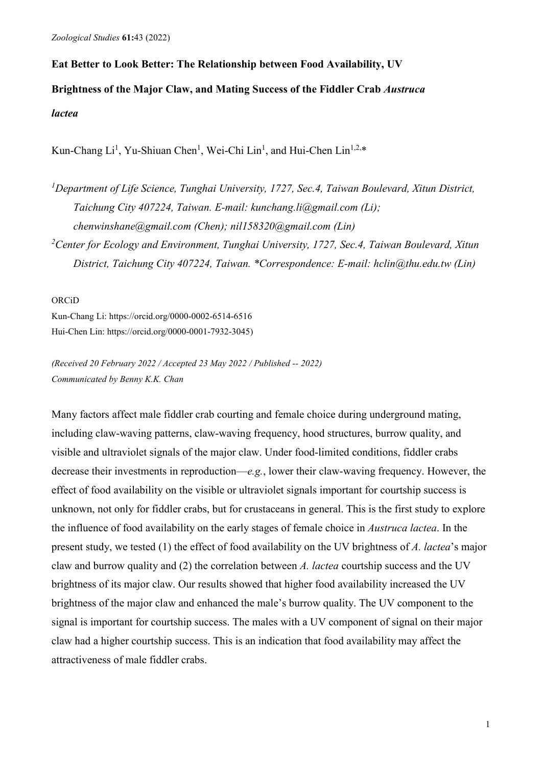# **Eat Better to Look Better: The Relationship between Food Availability, UV**

# **Brightness of the Major Claw, and Mating Success of the Fiddler Crab** *Austruca*

*lactea*

Kun-Chang Li<sup>1</sup>, Yu-Shiuan Chen<sup>1</sup>, Wei-Chi Lin<sup>1</sup>, and Hui-Chen Lin<sup>1,2,\*</sup>

- *1 Department of Life Science, Tunghai University, 1727, Sec.4, Taiwan Boulevard, Xitun District, Taichung City 407224, Taiwan. E-mail: kunchang.li@gmail.com (Li); chenwinshane@gmail.com (Chen); nil158320@gmail.com (Lin)*
- *2 Center for Ecology and Environment, Tunghai University, 1727, Sec.4, Taiwan Boulevard, Xitun District, Taichung City 407224, Taiwan. \*Correspondence: E-mail: hclin@thu.edu.tw (Lin)*

ORCiD

Kun-Chang Li: https://orcid.org/0000-0002-6514-6516 Hui-Chen Lin: https://orcid.org/0000-0001-7932-3045)

*(Received 20 February 2022 / Accepted 23 May 2022 / Published -- 2022) Communicated by Benny K.K. Chan*

Many factors affect male fiddler crab courting and female choice during underground mating, including claw-waving patterns, claw-waving frequency, hood structures, burrow quality, and visible and ultraviolet signals of the major claw. Under food-limited conditions, fiddler crabs decrease their investments in reproduction—*e.g.*, lower their claw-waving frequency. However, the effect of food availability on the visible or ultraviolet signals important for courtship success is unknown, not only for fiddler crabs, but for crustaceans in general. This is the first study to explore the influence of food availability on the early stages of female choice in *Austruca lactea*. In the present study, we tested (1) the effect of food availability on the UV brightness of *A. lactea*'s major claw and burrow quality and (2) the correlation between *A. lactea* courtship success and the UV brightness of its major claw. Our results showed that higher food availability increased the UV brightness of the major claw and enhanced the male's burrow quality. The UV component to the signal is important for courtship success. The males with a UV component of signal on their major claw had a higher courtship success. This is an indication that food availability may affect the attractiveness of male fiddler crabs.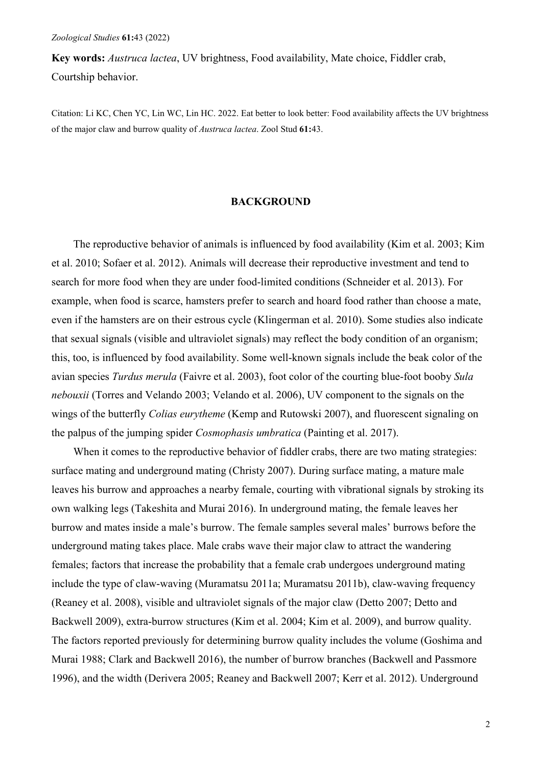**Key words:** *Austruca lactea*, UV brightness, Food availability, Mate choice, Fiddler crab, Courtship behavior.

Citation: Li KC, Chen YC, Lin WC, Lin HC. 2022. Eat better to look better: Food availability affects the UV brightness of the major claw and burrow quality of *Austruca lactea*. Zool Stud **61:**43.

#### **BACKGROUND**

The reproductive behavior of animals is influenced by food availability (Kim et al. 2003; Kim et al. 2010; Sofaer et al. 2012). Animals will decrease their reproductive investment and tend to search for more food when they are under food-limited conditions (Schneider et al. 2013). For example, when food is scarce, hamsters prefer to search and hoard food rather than choose a mate, even if the hamsters are on their estrous cycle (Klingerman et al. 2010). Some studies also indicate that sexual signals (visible and ultraviolet signals) may reflect the body condition of an organism; this, too, is influenced by food availability. Some well-known signals include the beak color of the avian species *Turdus merula* (Faivre et al. 2003), foot color of the courting blue-foot booby *Sula nebouxii* (Torres and Velando 2003; Velando et al. 2006), UV component to the signals on the wings of the butterfly *Colias eurytheme* (Kemp and Rutowski 2007), and fluorescent signaling on the palpus of the jumping spider *Cosmophasis umbratica* (Painting et al. 2017).

When it comes to the reproductive behavior of fiddler crabs, there are two mating strategies: surface mating and underground mating (Christy 2007). During surface mating, a mature male leaves his burrow and approaches a nearby female, courting with vibrational signals by stroking its own walking legs (Takeshita and Murai 2016). In underground mating, the female leaves her burrow and mates inside a male's burrow. The female samples several males' burrows before the underground mating takes place. Male crabs wave their major claw to attract the wandering females; factors that increase the probability that a female crab undergoes underground mating include the type of claw-waving (Muramatsu 2011a; Muramatsu 2011b), claw-waving frequency (Reaney et al. 2008), visible and ultraviolet signals of the major claw (Detto 2007; Detto and Backwell 2009), extra-burrow structures (Kim et al. 2004; Kim et al. 2009), and burrow quality. The factors reported previously for determining burrow quality includes the volume (Goshima and Murai 1988; Clark and Backwell 2016), the number of burrow branches (Backwell and Passmore 1996), and the width (Derivera 2005; Reaney and Backwell 2007; Kerr et al. 2012). Underground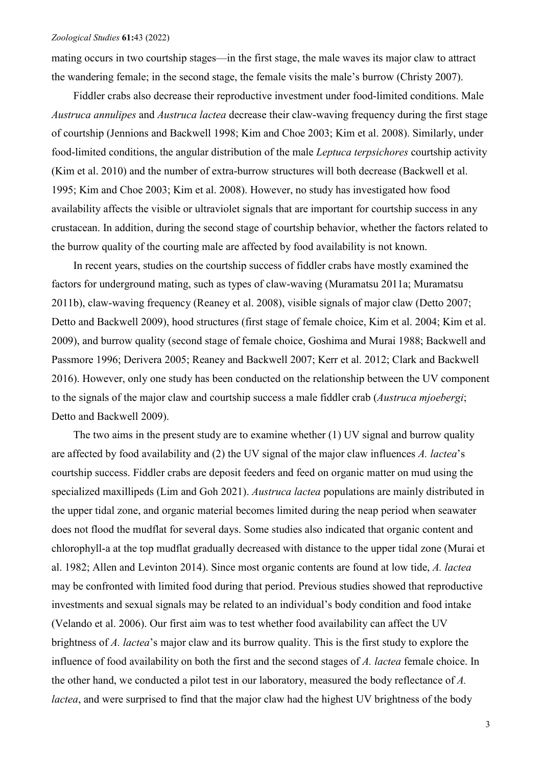mating occurs in two courtship stages—in the first stage, the male waves its major claw to attract the wandering female; in the second stage, the female visits the male's burrow (Christy 2007).

Fiddler crabs also decrease their reproductive investment under food-limited conditions. Male *Austruca annulipes* and *Austruca lactea* decrease their claw-waving frequency during the first stage of courtship (Jennions and Backwell 1998; Kim and Choe 2003; Kim et al. 2008). Similarly, under food-limited conditions, the angular distribution of the male *Leptuca terpsichores* courtship activity (Kim et al. 2010) and the number of extra-burrow structures will both decrease (Backwell et al. 1995; Kim and Choe 2003; Kim et al. 2008). However, no study has investigated how food availability affects the visible or ultraviolet signals that are important for courtship success in any crustacean. In addition, during the second stage of courtship behavior, whether the factors related to the burrow quality of the courting male are affected by food availability is not known.

In recent years, studies on the courtship success of fiddler crabs have mostly examined the factors for underground mating, such as types of claw-waving (Muramatsu 2011a; Muramatsu 2011b), claw-waving frequency (Reaney et al. 2008), visible signals of major claw (Detto 2007; Detto and Backwell 2009), hood structures (first stage of female choice, Kim et al. 2004; Kim et al. 2009), and burrow quality (second stage of female choice, Goshima and Murai 1988; Backwell and Passmore 1996; Derivera 2005; Reaney and Backwell 2007; Kerr et al. 2012; Clark and Backwell 2016). However, only one study has been conducted on the relationship between the UV component to the signals of the major claw and courtship success a male fiddler crab (*Austruca mjoebergi*; Detto and Backwell 2009).

The two aims in the present study are to examine whether (1) UV signal and burrow quality are affected by food availability and (2) the UV signal of the major claw influences *A. lactea*'s courtship success. Fiddler crabs are deposit feeders and feed on organic matter on mud using the specialized maxillipeds (Lim and Goh 2021). *Austruca lactea* populations are mainly distributed in the upper tidal zone, and organic material becomes limited during the neap period when seawater does not flood the mudflat for several days. Some studies also indicated that organic content and chlorophyll-a at the top mudflat gradually decreased with distance to the upper tidal zone (Murai et al. 1982; Allen and Levinton 2014). Since most organic contents are found at low tide, *A. lactea* may be confronted with limited food during that period. Previous studies showed that reproductive investments and sexual signals may be related to an individual's body condition and food intake (Velando et al. 2006). Our first aim was to test whether food availability can affect the UV brightness of *A. lactea*'s major claw and its burrow quality. This is the first study to explore the influence of food availability on both the first and the second stages of *A. lactea* female choice. In the other hand, we conducted a pilot test in our laboratory, measured the body reflectance of *A. lactea*, and were surprised to find that the major claw had the highest UV brightness of the body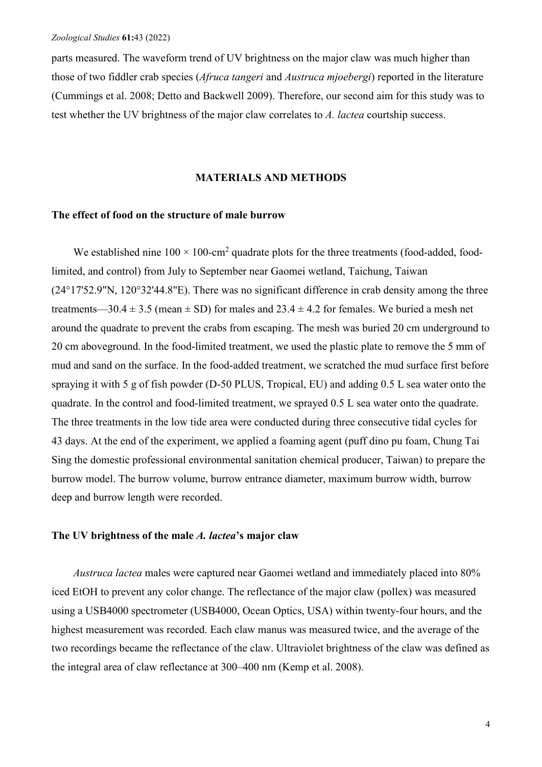parts measured. The waveform trend of UV brightness on the major claw was much higher than those of two fiddler crab species (*Afruca tangeri* and *Austruca mjoebergi*) reported in the literature (Cummings et al. 2008; Detto and Backwell 2009). Therefore, our second aim for this study was to test whether the UV brightness of the major claw correlates to *A. lactea* courtship success.

# **MATERIALS AND METHODS**

# **The effect of food on the structure of male burrow**

We established nine  $100 \times 100$ -cm<sup>2</sup> quadrate plots for the three treatments (food-added, foodlimited, and control) from July to September near Gaomei wetland, Taichung, Taiwan (24°17'52.9"N, 120°32'44.8"E). There was no significant difference in crab density among the three treatments—30.4  $\pm$  3.5 (mean  $\pm$  SD) for males and 23.4  $\pm$  4.2 for females. We buried a mesh net around the quadrate to prevent the crabs from escaping. The mesh was buried 20 cm underground to 20 cm aboveground. In the food-limited treatment, we used the plastic plate to remove the 5 mm of mud and sand on the surface. In the food-added treatment, we scratched the mud surface first before spraying it with 5 g of fish powder (D-50 PLUS, Tropical, EU) and adding 0.5 L sea water onto the quadrate. In the control and food-limited treatment, we sprayed 0.5 L sea water onto the quadrate. The three treatments in the low tide area were conducted during three consecutive tidal cycles for 43 days. At the end of the experiment, we applied a foaming agent (puff dino pu foam, Chung Tai Sing the domestic professional environmental sanitation chemical producer, Taiwan) to prepare the burrow model. The burrow volume, burrow entrance diameter, maximum burrow width, burrow deep and burrow length were recorded.

# **The UV brightness of the male** *A. lactea***'s major claw**

*Austruca lactea* males were captured near Gaomei wetland and immediately placed into 80% iced EtOH to prevent any color change. The reflectance of the major claw (pollex) was measured using a USB4000 spectrometer (USB4000, Ocean Optics, USA) within twenty-four hours, and the highest measurement was recorded. Each claw manus was measured twice, and the average of the two recordings became the reflectance of the claw. Ultraviolet brightness of the claw was defined as the integral area of claw reflectance at 300–400 nm (Kemp et al. 2008).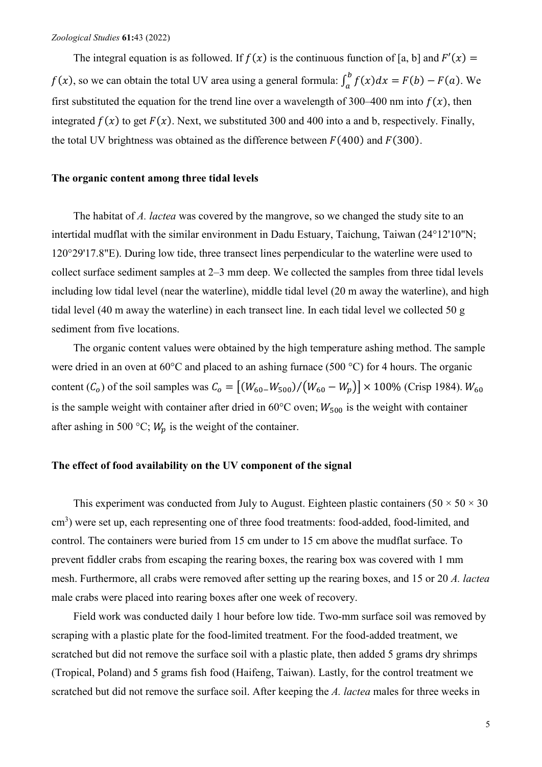The integral equation is as followed. If  $f(x)$  is the continuous function of [a, b] and  $F'(x) =$  $f(x)$ , so we can obtain the total UV area using a general formula:  $\int_a^b f(x)dx = F(b) - F(a)$ . We first substituted the equation for the trend line over a wavelength of 300–400 nm into  $f(x)$ , then integrated  $f(x)$  to get  $F(x)$ . Next, we substituted 300 and 400 into a and b, respectively. Finally, the total UV brightness was obtained as the difference between  $F(400)$  and  $F(300)$ .

### **The organic content among three tidal levels**

The habitat of *A. lactea* was covered by the mangrove, so we changed the study site to an intertidal mudflat with the similar environment in Dadu Estuary, Taichung, Taiwan (24°12'10"N; 120°29'17.8"E). During low tide, three transect lines perpendicular to the waterline were used to collect surface sediment samples at 2–3 mm deep. We collected the samples from three tidal levels including low tidal level (near the waterline), middle tidal level (20 m away the waterline), and high tidal level (40 m away the waterline) in each transect line. In each tidal level we collected 50 g sediment from five locations.

The organic content values were obtained by the high temperature ashing method. The sample were dried in an oven at 60°C and placed to an ashing furnace (500 °C) for 4 hours. The organic content ( $C_0$ ) of the soil samples was  $C_0 = [(W_{60} - W_{500})/(W_{60} - W_p)] \times 100\%$  (Crisp 1984).  $W_{60}$ is the sample weight with container after dried in 60°C oven;  $W_{500}$  is the weight with container after ashing in 500 °C;  $W_p$  is the weight of the container.

# **The effect of food availability on the UV component of the signal**

This experiment was conducted from July to August. Eighteen plastic containers  $(50 \times 50 \times 30$ cm<sup>3</sup>) were set up, each representing one of three food treatments: food-added, food-limited, and control. The containers were buried from 15 cm under to 15 cm above the mudflat surface. To prevent fiddler crabs from escaping the rearing boxes, the rearing box was covered with 1 mm mesh. Furthermore, all crabs were removed after setting up the rearing boxes, and 15 or 20 *A. lactea* male crabs were placed into rearing boxes after one week of recovery.

Field work was conducted daily 1 hour before low tide. Two-mm surface soil was removed by scraping with a plastic plate for the food-limited treatment. For the food-added treatment, we scratched but did not remove the surface soil with a plastic plate, then added 5 grams dry shrimps (Tropical, Poland) and 5 grams fish food (Haifeng, Taiwan). Lastly, for the control treatment we scratched but did not remove the surface soil. After keeping the *A. lactea* males for three weeks in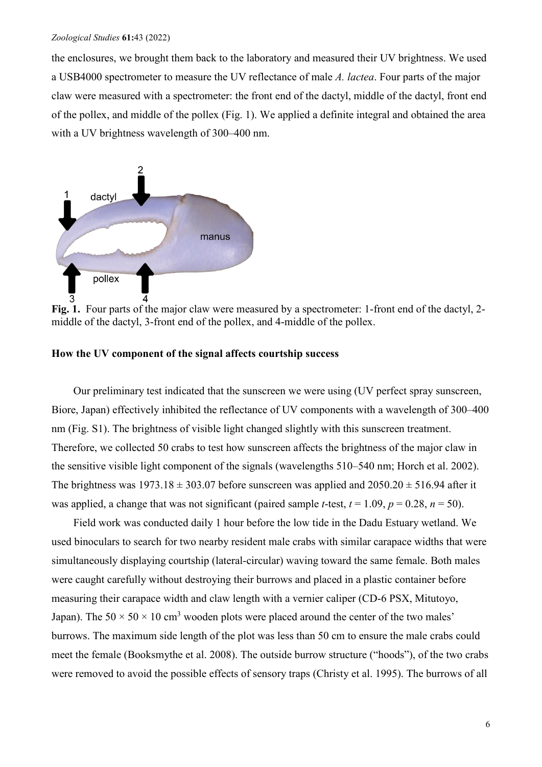the enclosures, we brought them back to the laboratory and measured their UV brightness. We used a USB4000 spectrometer to measure the UV reflectance of male *A. lactea*. Four parts of the major claw were measured with a spectrometer: the front end of the dactyl, middle of the dactyl, front end of the pollex, and middle of the pollex [\(Fig. 1\)](#page-5-0). We applied a definite integral and obtained the area with a UV brightness wavelength of 300–400 nm.



<span id="page-5-0"></span>**Fig. 1.** Four parts of the major claw were measured by a spectrometer: 1-front end of the dactyl, 2 middle of the dactyl, 3-front end of the pollex, and 4-middle of the pollex.

# **How the UV component of the signal affects courtship success**

Our preliminary test indicated that the sunscreen we were using (UV perfect spray sunscreen, Biore, Japan) effectively inhibited the reflectance of UV components with a wavelength of 300–400 nm (Fig. S1). The brightness of visible light changed slightly with this sunscreen treatment. Therefore, we collected 50 crabs to test how sunscreen affects the brightness of the major claw in the sensitive visible light component of the signals (wavelengths 510–540 nm; Horch et al. 2002). The brightness was  $1973.18 \pm 303.07$  before sunscreen was applied and  $2050.20 \pm 516.94$  after it was applied, a change that was not significant (paired sample *t*-test,  $t = 1.09$ ,  $p = 0.28$ ,  $n = 50$ ).

Field work was conducted daily 1 hour before the low tide in the Dadu Estuary wetland. We used binoculars to search for two nearby resident male crabs with similar carapace widths that were simultaneously displaying courtship (lateral-circular) waving toward the same female. Both males were caught carefully without destroying their burrows and placed in a plastic container before measuring their carapace width and claw length with a vernier caliper (CD-6 PSX, Mitutoyo, Japan). The  $50 \times 50 \times 10$  cm<sup>3</sup> wooden plots were placed around the center of the two males' burrows. The maximum side length of the plot was less than 50 cm to ensure the male crabs could meet the female (Booksmythe et al. 2008). The outside burrow structure ("hoods"), of the two crabs were removed to avoid the possible effects of sensory traps (Christy et al. 1995). The burrows of all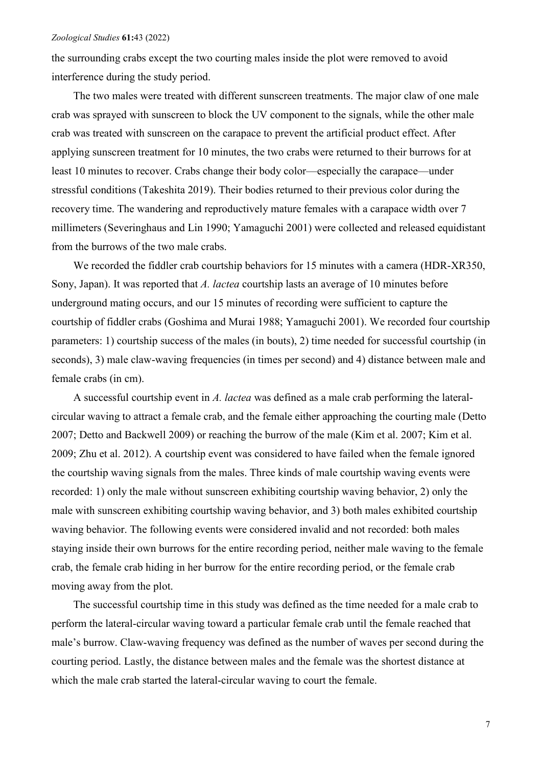the surrounding crabs except the two courting males inside the plot were removed to avoid interference during the study period.

The two males were treated with different sunscreen treatments. The major claw of one male crab was sprayed with sunscreen to block the UV component to the signals, while the other male crab was treated with sunscreen on the carapace to prevent the artificial product effect. After applying sunscreen treatment for 10 minutes, the two crabs were returned to their burrows for at least 10 minutes to recover. Crabs change their body color—especially the carapace—under stressful conditions (Takeshita 2019). Their bodies returned to their previous color during the recovery time. The wandering and reproductively mature females with a carapace width over 7 millimeters (Severinghaus and Lin 1990; Yamaguchi 2001) were collected and released equidistant from the burrows of the two male crabs.

We recorded the fiddler crab courtship behaviors for 15 minutes with a camera (HDR-XR350, Sony, Japan). It was reported that *A. lactea* courtship lasts an average of 10 minutes before underground mating occurs, and our 15 minutes of recording were sufficient to capture the courtship of fiddler crabs (Goshima and Murai 1988; Yamaguchi 2001). We recorded four courtship parameters: 1) courtship success of the males (in bouts), 2) time needed for successful courtship (in seconds), 3) male claw-waving frequencies (in times per second) and 4) distance between male and female crabs (in cm).

A successful courtship event in *A. lactea* was defined as a male crab performing the lateralcircular waving to attract a female crab, and the female either approaching the courting male (Detto 2007; Detto and Backwell 2009) or reaching the burrow of the male (Kim et al. 2007; Kim et al. 2009; Zhu et al. 2012). A courtship event was considered to have failed when the female ignored the courtship waving signals from the males. Three kinds of male courtship waving events were recorded: 1) only the male without sunscreen exhibiting courtship waving behavior, 2) only the male with sunscreen exhibiting courtship waving behavior, and 3) both males exhibited courtship waving behavior. The following events were considered invalid and not recorded: both males staying inside their own burrows for the entire recording period, neither male waving to the female crab, the female crab hiding in her burrow for the entire recording period, or the female crab moving away from the plot.

The successful courtship time in this study was defined as the time needed for a male crab to perform the lateral-circular waving toward a particular female crab until the female reached that male's burrow. Claw-waving frequency was defined as the number of waves per second during the courting period. Lastly, the distance between males and the female was the shortest distance at which the male crab started the lateral-circular waving to court the female.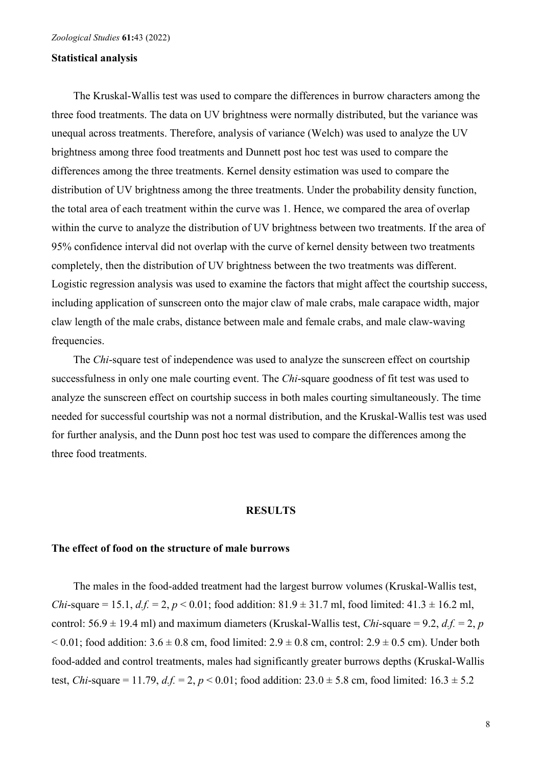# **Statistical analysis**

The Kruskal-Wallis test was used to compare the differences in burrow characters among the three food treatments. The data on UV brightness were normally distributed, but the variance was unequal across treatments. Therefore, analysis of variance (Welch) was used to analyze the UV brightness among three food treatments and Dunnett post hoc test was used to compare the differences among the three treatments. Kernel density estimation was used to compare the distribution of UV brightness among the three treatments. Under the probability density function, the total area of each treatment within the curve was 1. Hence, we compared the area of overlap within the curve to analyze the distribution of UV brightness between two treatments. If the area of 95% confidence interval did not overlap with the curve of kernel density between two treatments completely, then the distribution of UV brightness between the two treatments was different. Logistic regression analysis was used to examine the factors that might affect the courtship success, including application of sunscreen onto the major claw of male crabs, male carapace width, major claw length of the male crabs, distance between male and female crabs, and male claw-waving frequencies.

The *Chi*-square test of independence was used to analyze the sunscreen effect on courtship successfulness in only one male courting event. The *Chi*-square goodness of fit test was used to analyze the sunscreen effect on courtship success in both males courting simultaneously. The time needed for successful courtship was not a normal distribution, and the Kruskal-Wallis test was used for further analysis, and the Dunn post hoc test was used to compare the differences among the three food treatments.

#### **RESULTS**

# **The effect of food on the structure of male burrows**

The males in the food-added treatment had the largest burrow volumes (Kruskal-Wallis test, *Chi*-square = 15.1,  $d.f. = 2$ ,  $p < 0.01$ ; food addition:  $81.9 \pm 31.7$  ml, food limited:  $41.3 \pm 16.2$  ml, control:  $56.9 \pm 19.4$  ml) and maximum diameters (Kruskal-Wallis test, *Chi*-square = 9.2, *d.f.* = 2, *p*  $\leq 0.01$ ; food addition:  $3.6 \pm 0.8$  cm, food limited:  $2.9 \pm 0.8$  cm, control:  $2.9 \pm 0.5$  cm). Under both food-added and control treatments, males had significantly greater burrows depths (Kruskal-Wallis test, *Chi*-square = 11.79,  $d.f. = 2$ ,  $p < 0.01$ ; food addition:  $23.0 \pm 5.8$  cm, food limited:  $16.3 \pm 5.2$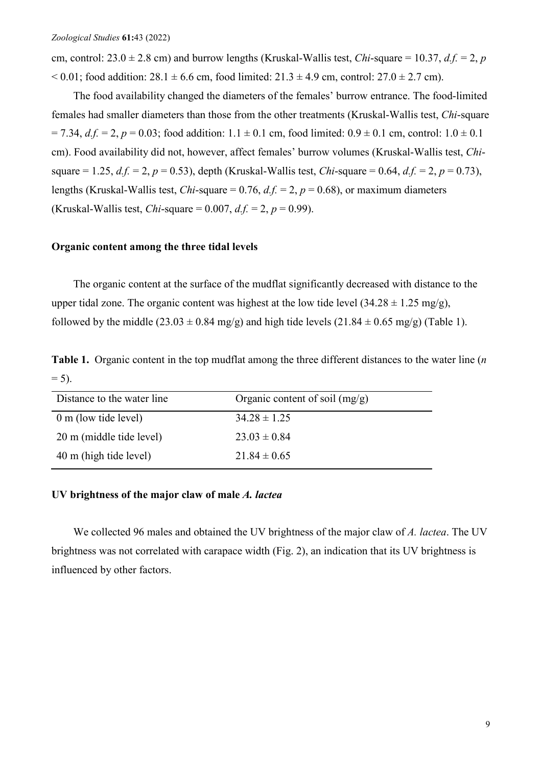cm, control:  $23.0 \pm 2.8$  cm) and burrow lengths (Kruskal-Wallis test, *Chi*-square = 10.37, *d.f.* = 2, *p*  $\leq 0.01$ : food addition: 28.1  $\pm$  6.6 cm, food limited: 21.3  $\pm$  4.9 cm, control: 27.0  $\pm$  2.7 cm).

The food availability changed the diameters of the females' burrow entrance. The food-limited females had smaller diameters than those from the other treatments (Kruskal-Wallis test, *Chi*-square  $= 7.34$ ,  $d.f. = 2$ ,  $p = 0.03$ ; food addition:  $1.1 \pm 0.1$  cm, food limited:  $0.9 \pm 0.1$  cm, control:  $1.0 \pm 0.1$ cm). Food availability did not, however, affect females' burrow volumes (Kruskal-Wallis test, *Chi*square = 1.25,  $d.f. = 2$ ,  $p = 0.53$ ), depth (Kruskal-Wallis test, *Chi*-square = 0.64,  $d.f. = 2$ ,  $p = 0.73$ ), lengths (Kruskal-Wallis test, *Chi*-square = 0.76,  $d.f. = 2$ ,  $p = 0.68$ ), or maximum diameters (Kruskal-Wallis test, *Chi*-square = 0.007,  $d.f. = 2$ ,  $p = 0.99$ ).

# **Organic content among the three tidal levels**

The organic content at the surface of the mudflat significantly decreased with distance to the upper tidal zone. The organic content was highest at the low tide level  $(34.28 \pm 1.25 \text{ mg/g})$ , followed by the middle  $(23.03 \pm 0.84 \text{ mg/g})$  and high tide levels  $(21.84 \pm 0.65 \text{ mg/g})$  [\(Table 1\)](#page-8-0).

<span id="page-8-0"></span>**Table 1.** Organic content in the top mudflat among the three different distances to the water line (*n*  $= 5$ ).

| Distance to the water line     | Organic content of soil $(mg/g)$ |
|--------------------------------|----------------------------------|
| $0 \text{ m}$ (low tide level) | $34.28 \pm 1.25$                 |
| 20 m (middle tide level)       | $23.03 \pm 0.84$                 |
| 40 m (high tide level)         | $21.84 \pm 0.65$                 |

### **UV brightness of the major claw of male** *A. lactea*

We collected 96 males and obtained the UV brightness of the major claw of *A. lactea*. The UV brightness was not correlated with carapace width [\(Fig. 2\)](#page-9-0), an indication that its UV brightness is influenced by other factors.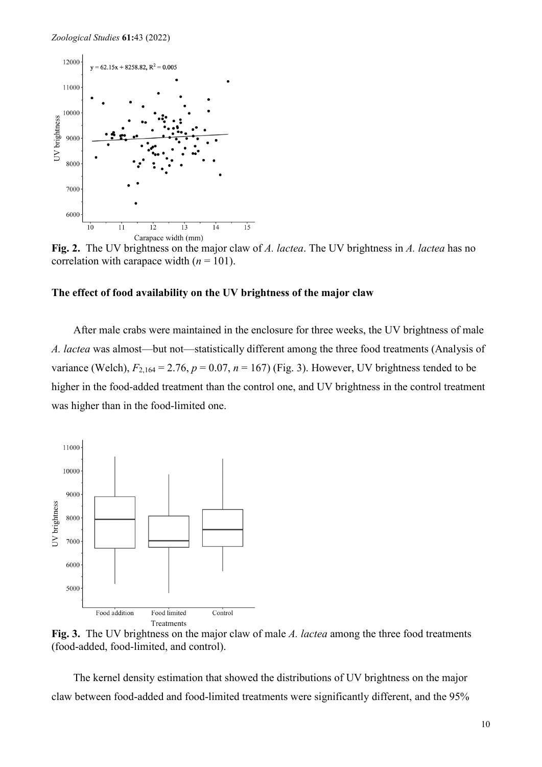

<span id="page-9-0"></span>**Fig. 2.** The UV brightness on the major claw of *A. lactea*. The UV brightness in *A. lactea* has no correlation with carapace width  $(n = 101)$ .

### **The effect of food availability on the UV brightness of the major claw**

After male crabs were maintained in the enclosure for three weeks, the UV brightness of male *A. lactea* was almost—but not—statistically different among the three food treatments (Analysis of variance (Welch),  $F_{2,164} = 2.76$ ,  $p = 0.07$ ,  $n = 167$ ) [\(Fig. 3\)](#page-9-1). However, UV brightness tended to be higher in the food-added treatment than the control one, and UV brightness in the control treatment was higher than in the food-limited one.



<span id="page-9-1"></span>**Fig. 3.** The UV brightness on the major claw of male *A. lactea* among the three food treatments (food-added, food-limited, and control).

The kernel density estimation that showed the distributions of UV brightness on the major claw between food-added and food-limited treatments were significantly different, and the 95%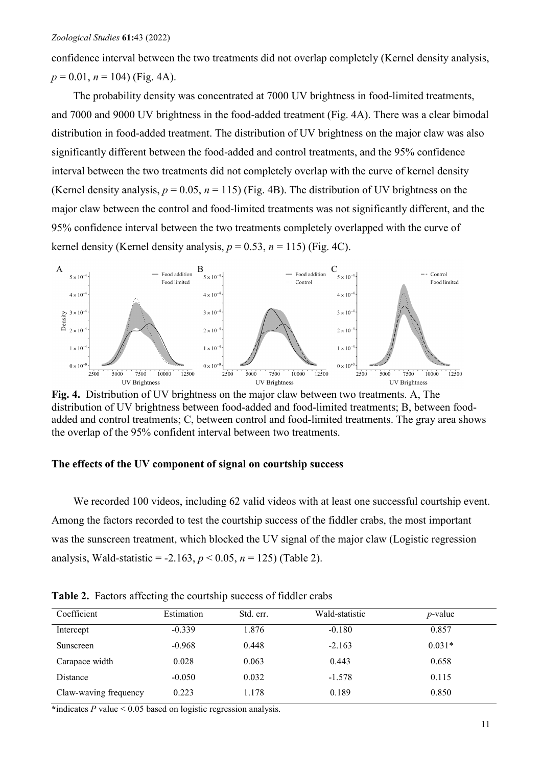confidence interval between the two treatments did not overlap completely (Kernel density analysis,  $p = 0.01$ ,  $n = 104$ ) [\(Fig. 4A](#page-10-0)).

The probability density was concentrated at 7000 UV brightness in food-limited treatments, and 7000 and 9000 UV brightness in the food-added treatment [\(Fig. 4A](#page-10-0)). There was a clear bimodal distribution in food-added treatment. The distribution of UV brightness on the major claw was also significantly different between the food-added and control treatments, and the 95% confidence interval between the two treatments did not completely overlap with the curve of kernel density (Kernel density analysis,  $p = 0.05$ ,  $n = 115$ ) [\(Fig. 4B](#page-10-0)). The distribution of UV brightness on the major claw between the control and food-limited treatments was not significantly different, and the 95% confidence interval between the two treatments completely overlapped with the curve of kernel density (Kernel density analysis,  $p = 0.53$ ,  $n = 115$ ) [\(Fig. 4C](#page-10-0)).



<span id="page-10-0"></span>**Fig. 4.** Distribution of UV brightness on the major claw between two treatments. A, The distribution of UV brightness between food-added and food-limited treatments; B, between foodadded and control treatments; C, between control and food-limited treatments. The gray area shows the overlap of the 95% confident interval between two treatments.

# **The effects of the UV component of signal on courtship success**

We recorded 100 videos, including 62 valid videos with at least one successful courtship event. Among the factors recorded to test the courtship success of the fiddler crabs, the most important was the sunscreen treatment, which blocked the UV signal of the major claw (Logistic regression analysis, Wald-statistic = -2.163, *p* < 0.05, *n* = 125) [\(Table 2\)](#page-10-1).

| Coefficient           | Estimation | Std. err. | Wald-statistic | $p$ -value |
|-----------------------|------------|-----------|----------------|------------|
| Intercept             | $-0.339$   | 1.876     | $-0.180$       | 0.857      |
| Sunscreen             | $-0.968$   | 0.448     | $-2.163$       | $0.031*$   |
| Carapace width        | 0.028      | 0.063     | 0.443          | 0.658      |
| Distance              | $-0.050$   | 0.032     | $-1.578$       | 0.115      |
| Claw-waving frequency | 0.223      | 1.178     | 0.189          | 0.850      |

<span id="page-10-1"></span>**Table 2.** Factors affecting the courtship success of fiddler crabs

**\***indicates *P* value < 0.05 based on logistic regression analysis.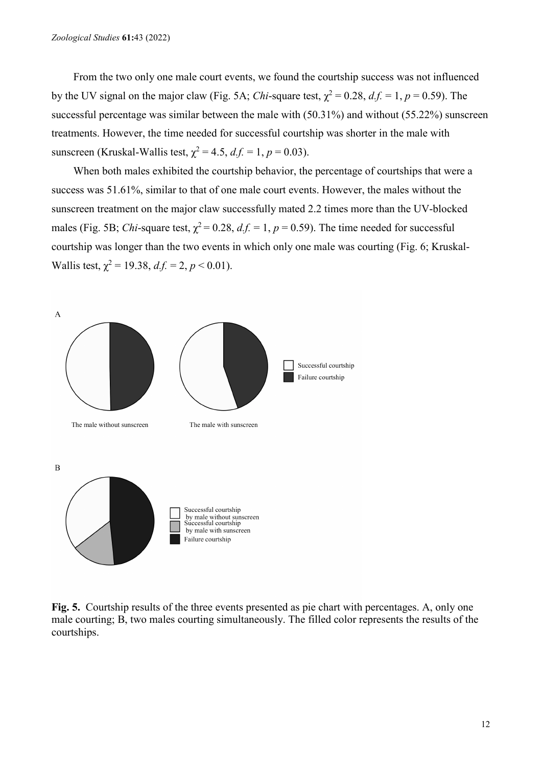From the two only one male court events, we found the courtship success was not influenced by the UV signal on the major claw [\(Fig. 5A](#page-11-0); *Chi*-square test,  $\chi^2 = 0.28$ , *d.f.* = 1, *p* = 0.59). The successful percentage was similar between the male with (50.31%) and without (55.22%) sunscreen treatments. However, the time needed for successful courtship was shorter in the male with sunscreen (Kruskal-Wallis test,  $\chi^2 = 4.5$ ,  $d.f. = 1$ ,  $p = 0.03$ ).

When both males exhibited the courtship behavior, the percentage of courtships that were a success was 51.61%, similar to that of one male court events. However, the males without the sunscreen treatment on the major claw successfully mated 2.2 times more than the UV-blocked males [\(Fig. 5B](#page-11-0); *Chi*-square test,  $\chi^2 = 0.28$ ,  $d.f. = 1$ ,  $p = 0.59$ ). The time needed for successful courtship was longer than the two events in which only one male was courting [\(Fig. 6;](#page-12-0) Kruskal-Wallis test,  $\chi^2 = 19.38$ ,  $d.f. = 2$ ,  $p < 0.01$ ).



<span id="page-11-0"></span>**Fig. 5.** Courtship results of the three events presented as pie chart with percentages. A, only one male courting; B, two males courting simultaneously. The filled color represents the results of the courtships.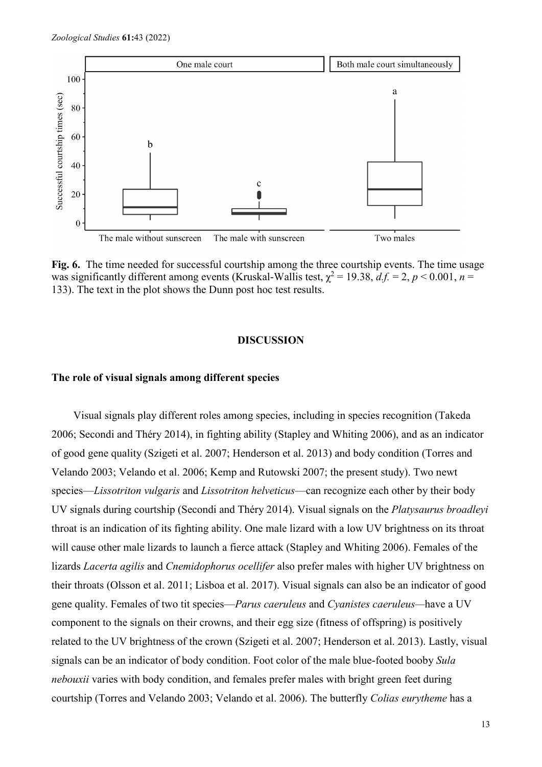

<span id="page-12-0"></span>**Fig. 6.** The time needed for successful courtship among the three courtship events. The time usage was significantly different among events (Kruskal-Wallis test,  $\gamma^2 = 19.38$ ,  $d.f. = 2$ ,  $p < 0.001$ ,  $n =$ 133). The text in the plot shows the Dunn post hoc test results.

#### **DISCUSSION**

### **The role of visual signals among different species**

Visual signals play different roles among species, including in species recognition (Takeda 2006; Secondi and Théry 2014), in fighting ability (Stapley and Whiting 2006), and as an indicator of good gene quality (Szigeti et al. 2007; Henderson et al. 2013) and body condition (Torres and Velando 2003; Velando et al. 2006; Kemp and Rutowski 2007; the present study). Two newt species—*Lissotriton vulgaris* and *Lissotriton helveticus*—can recognize each other by their body UV signals during courtship (Secondi and Théry 2014). Visual signals on the *Platysaurus broadleyi*  throat is an indication of its fighting ability. One male lizard with a low UV brightness on its throat will cause other male lizards to launch a fierce attack (Stapley and Whiting 2006). Females of the lizards *Lacerta agilis* and *Cnemidophorus ocellifer* also prefer males with higher UV brightness on their throats (Olsson et al. 2011; Lisboa et al. 2017). Visual signals can also be an indicator of good gene quality. Females of two tit species—*Parus caeruleus* and *Cyanistes caeruleus—*have a UV component to the signals on their crowns, and their egg size (fitness of offspring) is positively related to the UV brightness of the crown (Szigeti et al. 2007; Henderson et al. 2013). Lastly, visual signals can be an indicator of body condition. Foot color of the male blue-footed booby *Sula nebouxii* varies with body condition, and females prefer males with bright green feet during courtship (Torres and Velando 2003; Velando et al. 2006). The butterfly *Colias eurytheme* has a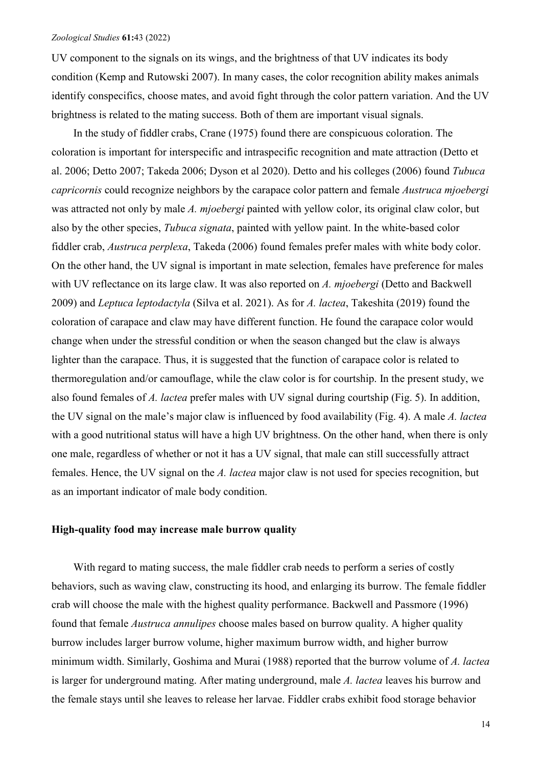UV component to the signals on its wings, and the brightness of that UV indicates its body condition (Kemp and Rutowski 2007). In many cases, the color recognition ability makes animals identify conspecifics, choose mates, and avoid fight through the color pattern variation. And the UV brightness is related to the mating success. Both of them are important visual signals.

In the study of fiddler crabs, Crane (1975) found there are conspicuous coloration. The coloration is important for interspecific and intraspecific recognition and mate attraction (Detto et al. 2006; Detto 2007; Takeda 2006; Dyson et al 2020). Detto and his colleges (2006) found *Tubuca capricornis* could recognize neighbors by the carapace color pattern and female *Austruca mjoebergi* was attracted not only by male *A. mjoebergi* painted with yellow color, its original claw color, but also by the other species, *Tubuca signata*, painted with yellow paint. In the white-based color fiddler crab, *Austruca perplexa*, Takeda (2006) found females prefer males with white body color. On the other hand, the UV signal is important in mate selection, females have preference for males with UV reflectance on its large claw. It was also reported on *A. mjoebergi* (Detto and Backwell 2009) and *Leptuca leptodactyla* (Silva et al. 2021). As for *A. lactea*, Takeshita (2019) found the coloration of carapace and claw may have different function. He found the carapace color would change when under the stressful condition or when the season changed but the claw is always lighter than the carapace. Thus, it is suggested that the function of carapace color is related to thermoregulation and/or camouflage, while the claw color is for courtship. In the present study, we also found females of *A. lactea* prefer males with UV signal during courtship [\(Fig. 5\)](#page-11-0). In addition, the UV signal on the male's major claw is influenced by food availability [\(Fig. 4\)](#page-10-0). A male *A. lactea* with a good nutritional status will have a high UV brightness. On the other hand, when there is only one male, regardless of whether or not it has a UV signal, that male can still successfully attract females. Hence, the UV signal on the *A. lactea* major claw is not used for species recognition, but as an important indicator of male body condition.

### **High-quality food may increase male burrow quality**

With regard to mating success, the male fiddler crab needs to perform a series of costly behaviors, such as waving claw, constructing its hood, and enlarging its burrow. The female fiddler crab will choose the male with the highest quality performance. Backwell and Passmore (1996) found that female *Austruca annulipes* choose males based on burrow quality. A higher quality burrow includes larger burrow volume, higher maximum burrow width, and higher burrow minimum width. Similarly, Goshima and Murai (1988) reported that the burrow volume of *A. lactea*  is larger for underground mating. After mating underground, male *A. lactea* leaves his burrow and the female stays until she leaves to release her larvae. Fiddler crabs exhibit food storage behavior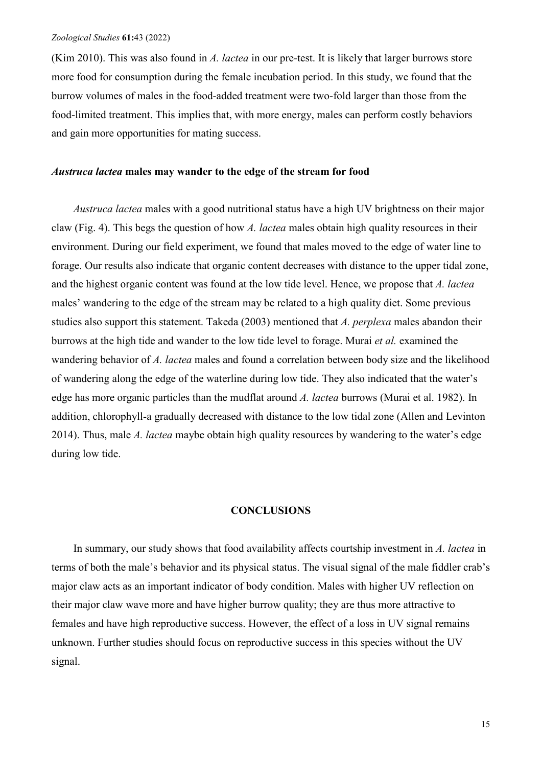(Kim 2010). This was also found in *A. lactea* in our pre-test. It is likely that larger burrows store more food for consumption during the female incubation period. In this study, we found that the burrow volumes of males in the food-added treatment were two-fold larger than those from the food-limited treatment. This implies that, with more energy, males can perform costly behaviors and gain more opportunities for mating success.

#### *Austruca lactea* **males may wander to the edge of the stream for food**

*Austruca lactea* males with a good nutritional status have a high UV brightness on their major claw [\(Fig. 4\)](#page-10-0). This begs the question of how *A. lactea* males obtain high quality resources in their environment. During our field experiment, we found that males moved to the edge of water line to forage. Our results also indicate that organic content decreases with distance to the upper tidal zone, and the highest organic content was found at the low tide level. Hence, we propose that *A. lactea* males' wandering to the edge of the stream may be related to a high quality diet. Some previous studies also support this statement. Takeda (2003) mentioned that *A. perplexa* males abandon their burrows at the high tide and wander to the low tide level to forage. Murai *et al.* examined the wandering behavior of *A. lactea* males and found a correlation between body size and the likelihood of wandering along the edge of the waterline during low tide. They also indicated that the water's edge has more organic particles than the mudflat around *A. lactea* burrows (Murai et al. 1982). In addition, chlorophyll-a gradually decreased with distance to the low tidal zone (Allen and Levinton 2014). Thus, male *A. lactea* maybe obtain high quality resources by wandering to the water's edge during low tide.

### **CONCLUSIONS**

In summary, our study shows that food availability affects courtship investment in *A. lactea* in terms of both the male's behavior and its physical status. The visual signal of the male fiddler crab's major claw acts as an important indicator of body condition. Males with higher UV reflection on their major claw wave more and have higher burrow quality; they are thus more attractive to females and have high reproductive success. However, the effect of a loss in UV signal remains unknown. Further studies should focus on reproductive success in this species without the UV signal.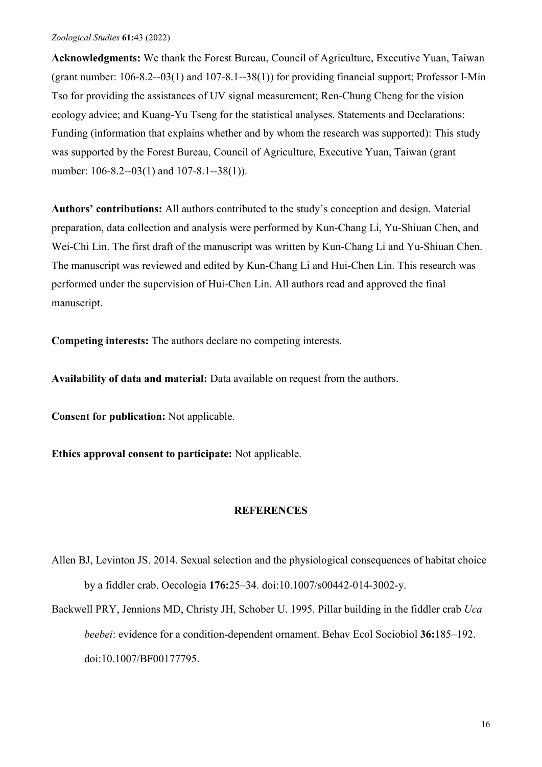**Acknowledgments:** We thank the Forest Bureau, Council of Agriculture, Executive Yuan, Taiwan (grant number: 106-8.2--03(1) and 107-8.1--38(1)) for providing financial support; Professor I-Min Tso for providing the assistances of UV signal measurement; Ren-Chung Cheng for the vision ecology advice; and Kuang-Yu Tseng for the statistical analyses. Statements and Declarations: Funding (information that explains whether and by whom the research was supported): This study was supported by the Forest Bureau, Council of Agriculture, Executive Yuan, Taiwan (grant number: 106-8.2--03(1) and 107-8.1--38(1)).

**Authors' contributions:** All authors contributed to the study's conception and design. Material preparation, data collection and analysis were performed by Kun-Chang Li, Yu-Shiuan Chen, and Wei-Chi Lin. The first draft of the manuscript was written by Kun-Chang Li and Yu-Shiuan Chen. The manuscript was reviewed and edited by Kun-Chang Li and Hui-Chen Lin. This research was performed under the supervision of Hui-Chen Lin. All authors read and approved the final manuscript.

**Competing interests:** The authors declare no competing interests.

**Availability of data and material:** Data available on request from the authors.

**Consent for publication:** Not applicable.

**Ethics approval consent to participate:** Not applicable.

# **REFERENCES**

- Allen BJ, Levinton JS. 2014. Sexual selection and the physiological consequences of habitat choice by a fiddler crab. Oecologia **176:**25–34. doi:10.1007/s00442-014-3002-y.
- Backwell PRY, Jennions MD, Christy JH, Schober U. 1995. Pillar building in the fiddler crab *Uca beebei*: evidence for a condition-dependent ornament. Behav Ecol Sociobiol **36:**185–192. doi:10.1007/BF00177795.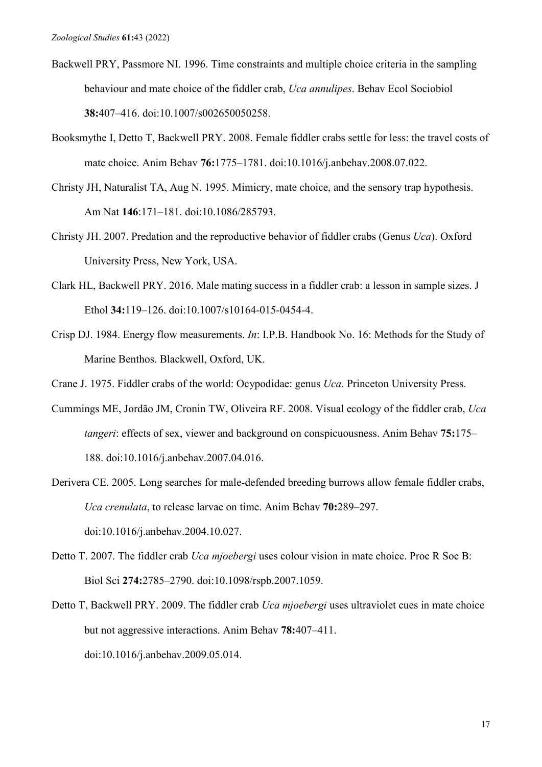- Backwell PRY, Passmore NI. 1996. Time constraints and multiple choice criteria in the sampling behaviour and mate choice of the fiddler crab, *Uca annulipes*. Behav Ecol Sociobiol **38:**407–416. doi:10.1007/s002650050258.
- Booksmythe I, Detto T, Backwell PRY. 2008. Female fiddler crabs settle for less: the travel costs of mate choice. Anim Behav **76:**1775–1781. doi:10.1016/j.anbehav.2008.07.022.
- Christy JH, Naturalist TA, Aug N. 1995. Mimicry, mate choice, and the sensory trap hypothesis. Am Nat **146**:171–181. doi:10.1086/285793.
- Christy JH. 2007. Predation and the reproductive behavior of fiddler crabs (Genus *Uca*). Oxford University Press, New York, USA.
- Clark HL, Backwell PRY. 2016. Male mating success in a fiddler crab: a lesson in sample sizes. J Ethol **34:**119–126. doi:10.1007/s10164-015-0454-4.
- Crisp DJ. 1984. Energy flow measurements. *In*: I.P.B. Handbook No. 16: Methods for the Study of Marine Benthos. Blackwell, Oxford, UK.

Crane J. 1975. Fiddler crabs of the world: Ocypodidae: genus *Uca*. Princeton University Press.

- Cummings ME, Jordão JM, Cronin TW, Oliveira RF. 2008. Visual ecology of the fiddler crab, *Uca tangeri*: effects of sex, viewer and background on conspicuousness. Anim Behav **75:**175– 188. doi:10.1016/j.anbehav.2007.04.016.
- Derivera CE. 2005. Long searches for male-defended breeding burrows allow female fiddler crabs, *Uca crenulata*, to release larvae on time. Anim Behav **70:**289–297. doi:10.1016/j.anbehav.2004.10.027.
- Detto T. 2007. The fiddler crab *Uca mjoebergi* uses colour vision in mate choice. Proc R Soc B: Biol Sci **274:**2785–2790. doi:10.1098/rspb.2007.1059.
- Detto T, Backwell PRY. 2009. The fiddler crab *Uca mjoebergi* uses ultraviolet cues in mate choice but not aggressive interactions. Anim Behav **78:**407–411. doi:10.1016/j.anbehav.2009.05.014.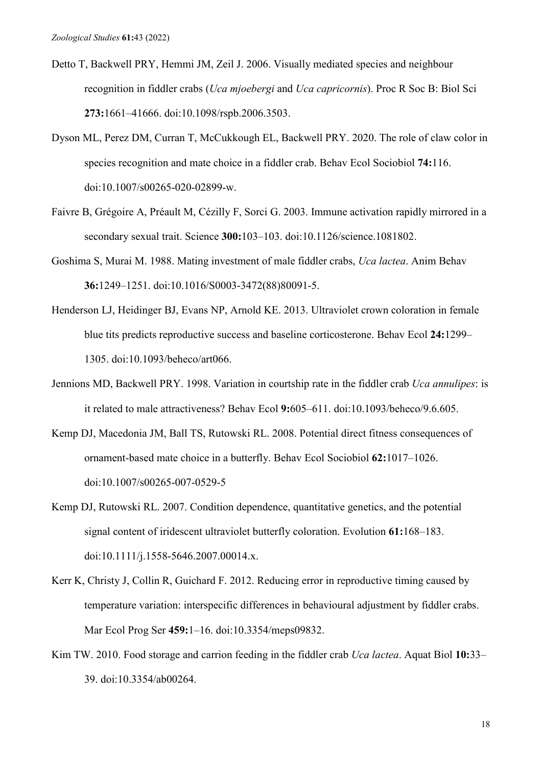- Detto T, Backwell PRY, Hemmi JM, Zeil J. 2006. Visually mediated species and neighbour recognition in fiddler crabs (*Uca mjoebergi* and *Uca capricornis*). Proc R Soc B: Biol Sci **273:**1661–41666. doi:10.1098/rspb.2006.3503.
- Dyson ML, Perez DM, Curran T, McCukkough EL, Backwell PRY. 2020. The role of claw color in species recognition and mate choice in a fiddler crab. Behav Ecol Sociobiol **74:**116. doi:10.1007/s00265-020-02899-w.
- Faivre B, Grégoire A, Préault M, Cézilly F, Sorci G. 2003. Immune activation rapidly mirrored in a secondary sexual trait. Science **300:**103–103. doi:10.1126/science.1081802.
- Goshima S, Murai M. 1988. Mating investment of male fiddler crabs, *Uca lactea*. Anim Behav **36:**1249–1251. doi:10.1016/S0003-3472(88)80091-5.
- Henderson LJ, Heidinger BJ, Evans NP, Arnold KE. 2013. Ultraviolet crown coloration in female blue tits predicts reproductive success and baseline corticosterone. Behav Ecol **24:**1299– 1305. doi:10.1093/beheco/art066.
- Jennions MD, Backwell PRY. 1998. Variation in courtship rate in the fiddler crab *Uca annulipes*: is it related to male attractiveness? Behav Ecol **9:**605–611. doi:10.1093/beheco/9.6.605.
- Kemp DJ, Macedonia JM, Ball TS, Rutowski RL. 2008. Potential direct fitness consequences of ornament-based mate choice in a butterfly. Behav Ecol Sociobiol **62:**1017–1026. doi:10.1007/s00265-007-0529-5
- Kemp DJ, Rutowski RL. 2007. Condition dependence, quantitative genetics, and the potential signal content of iridescent ultraviolet butterfly coloration. Evolution **61:**168–183. doi:10.1111/j.1558-5646.2007.00014.x.
- Kerr K, Christy J, Collin R, Guichard F. 2012. Reducing error in reproductive timing caused by temperature variation: interspecific differences in behavioural adjustment by fiddler crabs. Mar Ecol Prog Ser **459:**1–16. doi:10.3354/meps09832.
- Kim TW. 2010. Food storage and carrion feeding in the fiddler crab *Uca lactea*. Aquat Biol **10:**33– 39. doi:10.3354/ab00264.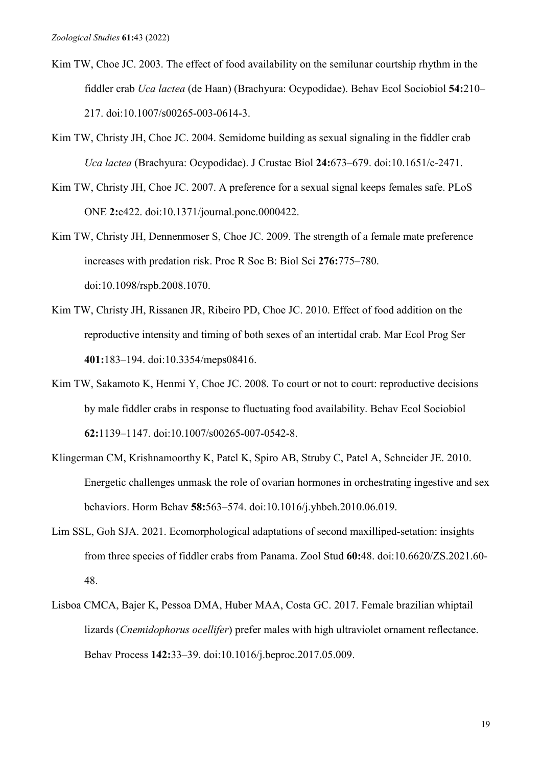- Kim TW, Choe JC. 2003. The effect of food availability on the semilunar courtship rhythm in the fiddler crab *Uca lactea* (de Haan) (Brachyura: Ocypodidae). Behav Ecol Sociobiol **54:**210– 217. doi:10.1007/s00265-003-0614-3.
- Kim TW, Christy JH, Choe JC. 2004. Semidome building as sexual signaling in the fiddler crab *Uca lactea* (Brachyura: Ocypodidae). J Crustac Biol **24:**673–679. doi:10.1651/c-2471.
- Kim TW, Christy JH, Choe JC. 2007. A preference for a sexual signal keeps females safe. PLoS ONE **2:**e422. doi:10.1371/journal.pone.0000422.
- Kim TW, Christy JH, Dennenmoser S, Choe JC. 2009. The strength of a female mate preference increases with predation risk. Proc R Soc B: Biol Sci **276:**775–780. doi:10.1098/rspb.2008.1070.
- Kim TW, Christy JH, Rissanen JR, Ribeiro PD, Choe JC. 2010. Effect of food addition on the reproductive intensity and timing of both sexes of an intertidal crab. Mar Ecol Prog Ser **401:**183–194. doi:10.3354/meps08416.
- Kim TW, Sakamoto K, Henmi Y, Choe JC. 2008. To court or not to court: reproductive decisions by male fiddler crabs in response to fluctuating food availability. Behav Ecol Sociobiol **62:**1139–1147. doi:10.1007/s00265-007-0542-8.
- Klingerman CM, Krishnamoorthy K, Patel K, Spiro AB, Struby C, Patel A, Schneider JE. 2010. Energetic challenges unmask the role of ovarian hormones in orchestrating ingestive and sex behaviors. Horm Behav **58:**563–574. doi:10.1016/j.yhbeh.2010.06.019.
- Lim SSL, Goh SJA. 2021. Ecomorphological adaptations of second maxilliped-setation: insights from three species of fiddler crabs from Panama. Zool Stud **60:**48. doi:10.6620/ZS.2021.60- 48.
- Lisboa CMCA, Bajer K, Pessoa DMA, Huber MAA, Costa GC. 2017. Female brazilian whiptail lizards (*Cnemidophorus ocellifer*) prefer males with high ultraviolet ornament reflectance. Behav Process **142:**33–39. doi:10.1016/j.beproc.2017.05.009.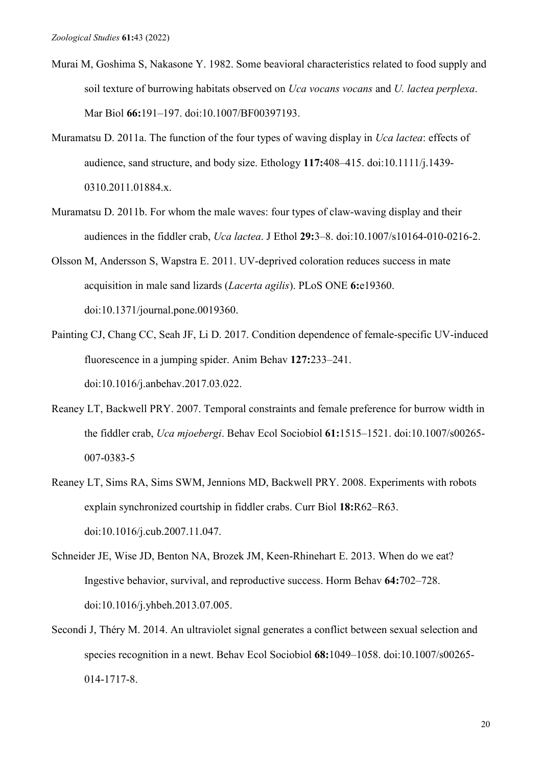- Murai M, Goshima S, Nakasone Y. 1982. Some beavioral characteristics related to food supply and soil texture of burrowing habitats observed on *Uca vocans vocans* and *U. lactea perplexa*. Mar Biol **66:**191–197. doi:10.1007/BF00397193.
- Muramatsu D. 2011a. The function of the four types of waving display in *Uca lactea*: effects of audience, sand structure, and body size. Ethology **117:**408–415. doi:10.1111/j.1439- 0310.2011.01884.x.
- Muramatsu D. 2011b. For whom the male waves: four types of claw-waving display and their audiences in the fiddler crab, *Uca lactea*. J Ethol **29:**3–8. doi:10.1007/s10164-010-0216-2.
- Olsson M, Andersson S, Wapstra E. 2011. UV-deprived coloration reduces success in mate acquisition in male sand lizards (*Lacerta agilis*). PLoS ONE **6:**e19360. doi:10.1371/journal.pone.0019360.
- Painting CJ, Chang CC, Seah JF, Li D. 2017. Condition dependence of female-specific UV-induced fluorescence in a jumping spider. Anim Behav **127:**233–241. doi:10.1016/j.anbehav.2017.03.022.
- Reaney LT, Backwell PRY. 2007. Temporal constraints and female preference for burrow width in the fiddler crab, *Uca mjoebergi*. Behav Ecol Sociobiol **61:**1515–1521. doi:10.1007/s00265- 007-0383-5
- Reaney LT, Sims RA, Sims SWM, Jennions MD, Backwell PRY. 2008. Experiments with robots explain synchronized courtship in fiddler crabs. Curr Biol **18:**R62–R63. doi:10.1016/j.cub.2007.11.047.
- Schneider JE, Wise JD, Benton NA, Brozek JM, Keen-Rhinehart E. 2013. When do we eat? Ingestive behavior, survival, and reproductive success. Horm Behav **64:**702–728. doi:10.1016/j.yhbeh.2013.07.005.
- Secondi J, Théry M. 2014. An ultraviolet signal generates a conflict between sexual selection and species recognition in a newt. Behav Ecol Sociobiol **68:**1049–1058. doi:10.1007/s00265- 014-1717-8.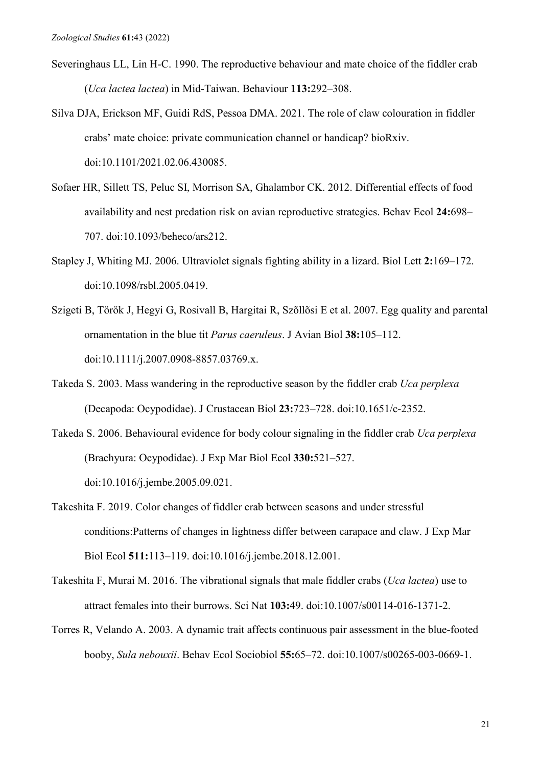- Severinghaus LL, Lin H-C. 1990. The reproductive behaviour and mate choice of the fiddler crab (*Uca lactea lactea*) in Mid-Taiwan. Behaviour **113:**292–308.
- Silva DJA, Erickson MF, Guidi RdS, Pessoa DMA. 2021. The role of claw colouration in fiddler crabs' mate choice: private communication channel or handicap? bioRxiv. doi:10.1101/2021.02.06.430085.
- Sofaer HR, Sillett TS, Peluc SI, Morrison SA, Ghalambor CK. 2012. Differential effects of food availability and nest predation risk on avian reproductive strategies. Behav Ecol **24:**698– 707. doi:10.1093/beheco/ars212.
- Stapley J, Whiting MJ. 2006. Ultraviolet signals fighting ability in a lizard. Biol Lett **2:**169–172. doi:10.1098/rsbl.2005.0419.
- Szigeti B, Török J, Hegyi G, Rosivall B, Hargitai R, Szõllõsi E et al. 2007. Egg quality and parental ornamentation in the blue tit *Parus caeruleus*. J Avian Biol **38:**105–112. doi:10.1111/j.2007.0908-8857.03769.x.
- Takeda S. 2003. Mass wandering in the reproductive season by the fiddler crab *Uca perplexa* (Decapoda: Ocypodidae). J Crustacean Biol **23:**723–728. doi:10.1651/c-2352.
- Takeda S. 2006. Behavioural evidence for body colour signaling in the fiddler crab *Uca perplexa* (Brachyura: Ocypodidae). J Exp Mar Biol Ecol **330:**521–527. doi:10.1016/j.jembe.2005.09.021.
- Takeshita F. 2019. Color changes of fiddler crab between seasons and under stressful conditions:Patterns of changes in lightness differ between carapace and claw. J Exp Mar Biol Ecol **511:**113–119. doi:10.1016/j.jembe.2018.12.001.
- Takeshita F, Murai M. 2016. The vibrational signals that male fiddler crabs (*Uca lactea*) use to attract females into their burrows. Sci Nat **103:**49. doi:10.1007/s00114-016-1371-2.
- Torres R, Velando A. 2003. A dynamic trait affects continuous pair assessment in the blue-footed booby, *Sula nebouxii*. Behav Ecol Sociobiol **55:**65–72. doi:10.1007/s00265-003-0669-1.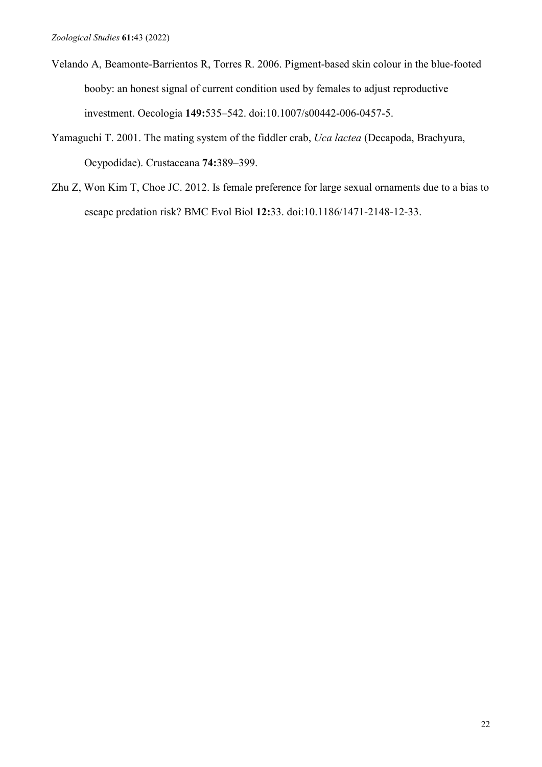- Velando A, Beamonte-Barrientos R, Torres R. 2006. Pigment-based skin colour in the blue-footed booby: an honest signal of current condition used by females to adjust reproductive investment. Oecologia **149:**535–542. doi:10.1007/s00442-006-0457-5.
- Yamaguchi T. 2001. The mating system of the fiddler crab, *Uca lactea* (Decapoda, Brachyura, Ocypodidae). Crustaceana **74:**389–399.
- Zhu Z, Won Kim T, Choe JC. 2012. Is female preference for large sexual ornaments due to a bias to escape predation risk? BMC Evol Biol **12:**33. doi:10.1186/1471-2148-12-33.